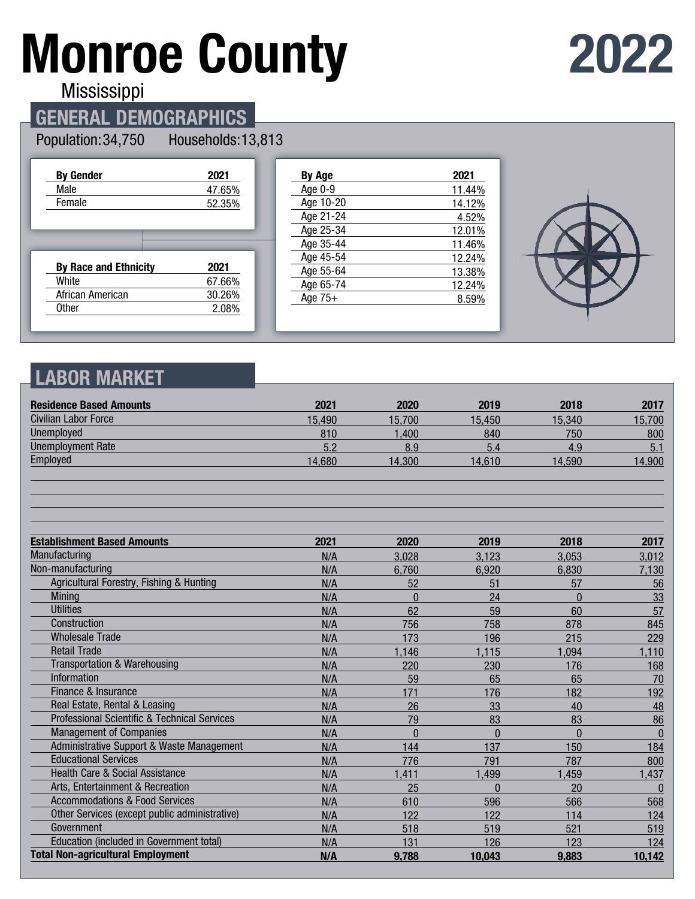# **Monroe County**



**Mississippi** 

### **GENERAL DEMOGRAPHICS**

#### Population: 34,750 Households: 13,813

| <b>By Gender</b>             | 2021   |
|------------------------------|--------|
| Male                         | 47.65% |
| Female                       | 52.35% |
|                              |        |
|                              |        |
|                              |        |
|                              |        |
| <b>By Race and Ethnicity</b> | 2021   |
| White                        | 67.66% |
| African American             | 30.26% |
| <b>Other</b>                 | 2.08%  |

| By Age    | 2021   |
|-----------|--------|
| Age 0-9   | 11.44% |
| Age 10-20 | 14.12% |
| Age 21-24 | 4.52%  |
| Age 25-34 | 12.01% |
| Age 35-44 | 11.46% |
| Age 45-54 | 12.24% |
| Age 55-64 | 13.38% |
| Age 65-74 | 12.24% |
| Age $75+$ | 8.59%  |
|           |        |



#### **LABOR MARKET**

| <b>Residence Based Amounts</b>                | 2021   | 2020     | 2019     | 2018     | 2017         |
|-----------------------------------------------|--------|----------|----------|----------|--------------|
| <b>Civilian Labor Force</b>                   | 15,490 | 15,700   | 15,450   | 15,340   | 15,700       |
| <b>Unemployed</b>                             | 810    | 1,400    | 840      | 750      | 800          |
| <b>Unemployment Rate</b>                      | 5.2    | 8.9      | 5.4      | 4.9      | 5.1          |
| Employed                                      | 14,680 | 14,300   | 14,610   | 14,590   | 14,900       |
|                                               |        |          |          |          |              |
| <b>Establishment Based Amounts</b>            | 2021   | 2020     | 2019     | 2018     | 2017         |
| Manufacturing                                 | N/A    | 3,028    | 3,123    | 3,053    | 3,012        |
| Non-manufacturing                             | N/A    | 6,760    | 6,920    | 6,830    | 7,130        |
| Agricultural Forestry, Fishing & Hunting      | N/A    | 52       | 51       | 57       | 56           |
| Mining                                        | N/A    | $\Omega$ | 24       | $\Omega$ | 33           |
| <b>Utilities</b>                              | N/A    | 62       | 59       | 60       | 57           |
| Construction                                  | N/A    | 756      | 758      | 878      | 845          |
| <b>Wholesale Trade</b>                        | N/A    | 173      | 196      | 215      | 229          |
| <b>Retail Trade</b>                           | N/A    | 1,146    | 1,115    | 1,094    | 1,110        |
| <b>Transportation &amp; Warehousing</b>       | N/A    | 220      | 230      | 176      | 168          |
| Information                                   | N/A    | 59       | 65       | 65       | 70           |
| Finance & Insurance                           | N/A    | 171      | 176      | 182      | 192          |
| Real Estate, Rental & Leasing                 | N/A    | 26       | 33       | 40       | 48           |
| Professional Scientific & Technical Services  | N/A    | 79       | 83       | 83       | 86           |
| <b>Management of Companies</b>                | N/A    | $\theta$ | $\Omega$ | $\Omega$ | $\mathbf{0}$ |
| Administrative Support & Waste Management     | N/A    | 144      | 137      | 150      | 184          |
| <b>Educational Services</b>                   | N/A    | 776      | 791      | 787      | 800          |
| Health Care & Social Assistance               | N/A    | 1,411    | 1,499    | 1,459    | 1,437        |
| Arts, Entertainment & Recreation              | N/A    | 25       | $\Omega$ | 20       | $\mathbf{0}$ |
| <b>Accommodations &amp; Food Services</b>     | N/A    | 610      | 596      | 566      | 568          |
| Other Services (except public administrative) | N/A    | 122      | 122      | 114      | 124          |
| Government                                    | N/A    | 518      | 519      | 521      | 519          |
| Education (included in Government total)      | N/A    | 131      | 126      | 123      | 124          |
| <b>Total Non-agricultural Employment</b>      | N/A    | 9,788    | 10,043   | 9,883    | 10,142       |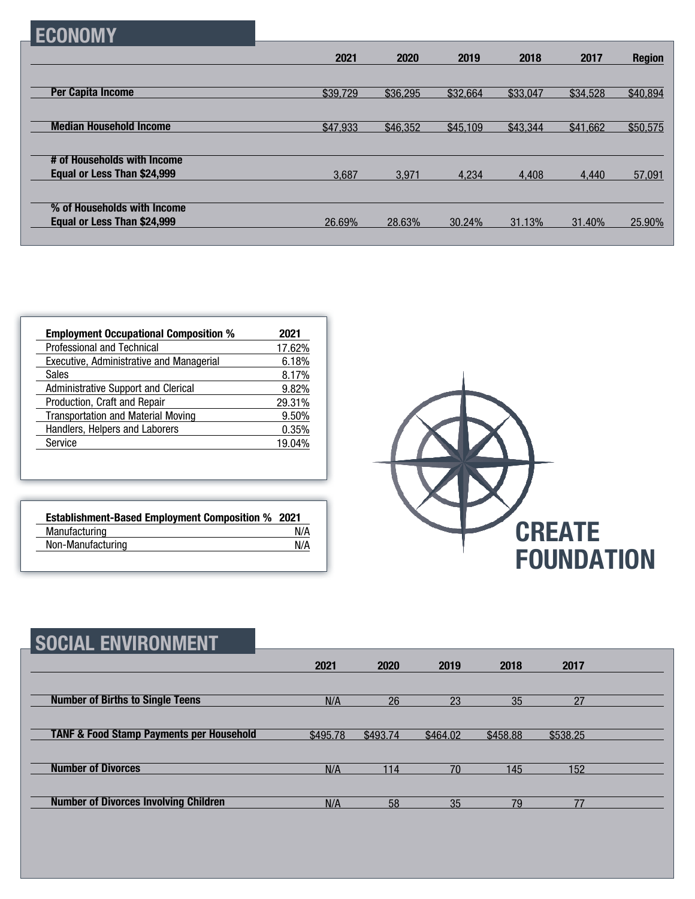|  |  | CONON: |  |
|--|--|--------|--|
|--|--|--------|--|

|                                                            | 2021     | 2020     | 2019     | 2018     | 2017     | <b>Region</b> |
|------------------------------------------------------------|----------|----------|----------|----------|----------|---------------|
|                                                            |          |          |          |          |          |               |
| <b>Per Capita Income</b>                                   | \$39,729 | \$36,295 | \$32,664 | \$33,047 | \$34,528 | \$40,894      |
|                                                            |          |          |          |          |          |               |
| <b>Median Household Income</b>                             | \$47,933 | \$46,352 | \$45,109 | \$43,344 | \$41,662 | \$50,575      |
|                                                            |          |          |          |          |          |               |
| # of Households with Income<br>Equal or Less Than \$24,999 | 3,687    | 3.971    | 4.234    | 4.408    | 4.440    | 57,091        |
|                                                            |          |          |          |          |          |               |
| % of Households with Income                                |          |          |          |          |          |               |
| Equal or Less Than \$24,999                                | 26.69%   | 28.63%   | 30.24%   | 31.13%   | 31.40%   | 25.90%        |
|                                                            |          |          |          |          |          |               |

| <b>Employment Occupational Composition %</b> | 2021   |
|----------------------------------------------|--------|
| <b>Professional and Technical</b>            | 17.62% |
| Executive, Administrative and Managerial     | 6.18%  |
| <b>Sales</b>                                 | 8.17%  |
| Administrative Support and Clerical          | 9.82%  |
| Production, Craft and Repair                 | 29.31% |
| <b>Transportation and Material Moving</b>    | 9.50%  |
| Handlers, Helpers and Laborers               | 0.35%  |
| Service                                      | 19.04% |

| <b>Establishment-Based Employment Composition % 2021</b> |     |
|----------------------------------------------------------|-----|
| Manufacturing                                            | N/A |
| Non-Manufacturing                                        | N/A |



| <b>SOCIAL ENVIRONMENT</b>                           |          |          |          |          |          |  |
|-----------------------------------------------------|----------|----------|----------|----------|----------|--|
|                                                     | 2021     | 2020     | 2019     | 2018     | 2017     |  |
| <b>Number of Births to Single Teens</b>             | N/A      | 26       | 23       | 35       | 27       |  |
| <b>TANF &amp; Food Stamp Payments per Household</b> | \$495.78 | \$493.74 | \$464.02 | \$458.88 | \$538.25 |  |
| <b>Number of Divorces</b>                           | N/A      | 114      | 70       | 145      | 152      |  |
| <b>Number of Divorces Involving Children</b>        | N/A      | 58       | 35       | 79       | 77       |  |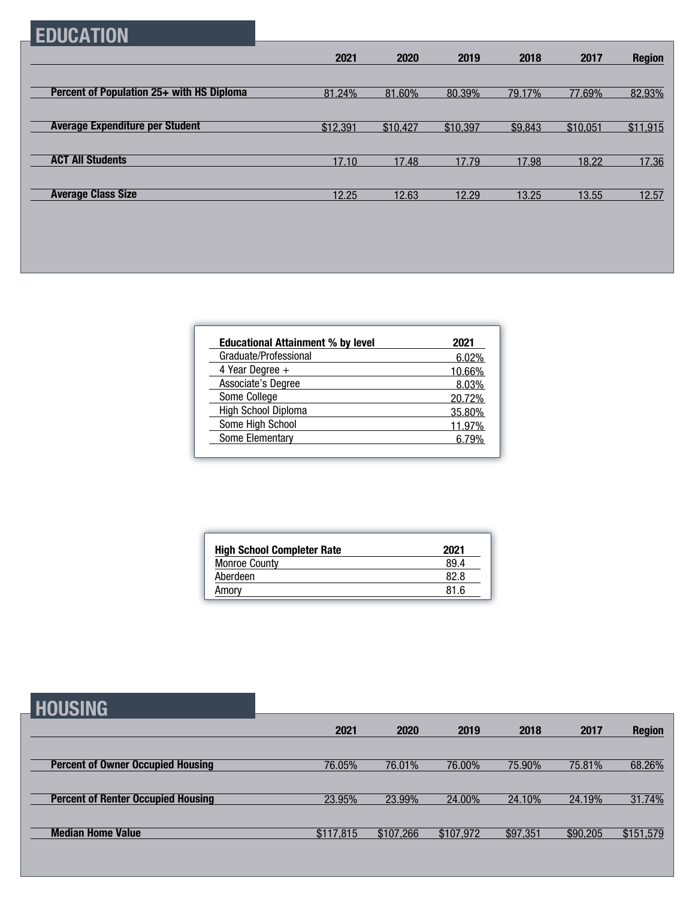## **EDUCATION**

| 2021     | 2020     | 2019     | 2018    | 2017     | <b>Region</b> |
|----------|----------|----------|---------|----------|---------------|
|          |          |          |         |          |               |
| 81.24%   | 81.60%   | 80.39%   | 79.17%  | 77.69%   | 82.93%        |
|          |          |          |         |          |               |
| \$12,391 | \$10,427 | \$10,397 | \$9,843 | \$10,051 | \$11,915      |
|          |          |          |         |          |               |
| 17.10    | 17.48    | 17.79    | 17.98   | 18.22    | 17.36         |
|          |          |          |         |          |               |
| 12.25    | 12.63    | 12.29    | 13.25   | 13.55    | 12.57         |
|          |          |          |         |          |               |

| <b>Educational Attainment % by level</b> | 2021   |
|------------------------------------------|--------|
| Graduate/Professional                    | 6.02%  |
| 4 Year Degree $+$                        | 10.66% |
| Associate's Degree                       | 8.03%  |
| Some College                             | 20.72% |
| High School Diploma                      | 35.80% |
| Some High School                         | 11.97% |
| Some Elementary                          |        |

| <b>High School Completer Rate</b> | 2021 |
|-----------------------------------|------|
| <b>Monroe County</b>              | 89.4 |
| Aberdeen                          | 82.8 |
| Amory                             | 81 R |

**HOUSING**

|                                           | 2021      | 2020      | 2019      | 2018     | 2017     | <b>Region</b> |
|-------------------------------------------|-----------|-----------|-----------|----------|----------|---------------|
|                                           |           |           |           |          |          |               |
| <b>Percent of Owner Occupied Housing</b>  | 76.05%    | 76.01%    | 76.00%    | 75.90%   | 75.81%   | 68.26%        |
|                                           |           |           |           |          |          |               |
| <b>Percent of Renter Occupied Housing</b> | 23.95%    | 23.99%    | 24.00%    | 24.10%   | 24.19%   | 31.74%        |
|                                           |           |           |           |          |          |               |
| <b>Median Home Value</b>                  | \$117,815 | \$107,266 | \$107,972 | \$97,351 | \$90,205 | \$151,579     |
|                                           |           |           |           |          |          |               |